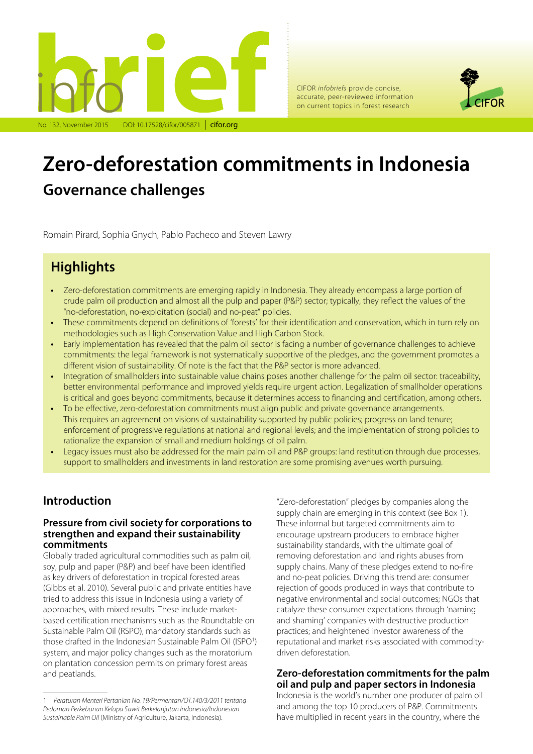

CIFOR *infobriefs* provide concise, accurate, peer-reviewed information on current topics in forest research



# **Zero-deforestation commitments in Indonesia Governance challenges**

Romain Pirard, Sophia Gnych, Pablo Pacheco and Steven Lawry

## **Highlights**

- **•** Zero-deforestation commitments are emerging rapidly in Indonesia. They already encompass a large portion of crude palm oil production and almost all the pulp and paper (P&P) sector; typically, they reflect the values of the "no-deforestation, no-exploitation (social) and no-peat" policies.
- **•** These commitments depend on definitions of 'forests' for their identification and conservation, which in turn rely on methodologies such as High Conservation Value and High Carbon Stock.
- **•** Early implementation has revealed that the palm oil sector is facing a number of governance challenges to achieve commitments: the legal framework is not systematically supportive of the pledges, and the government promotes a different vision of sustainability. Of note is the fact that the P&P sector is more advanced.
- **•** Integration of smallholders into sustainable value chains poses another challenge for the palm oil sector: traceability, better environmental performance and improved yields require urgent action. Legalization of smallholder operations is critical and goes beyond commitments, because it determines access to financing and certification, among others.
- **•** To be effective, zero-deforestation commitments must align public and private governance arrangements. This requires an agreement on visions of sustainability supported by public policies; progress on land tenure; enforcement of progressive regulations at national and regional levels; and the implementation of strong policies to rationalize the expansion of small and medium holdings of oil palm.
- **•** Legacy issues must also be addressed for the main palm oil and P&P groups: land restitution through due processes, support to smallholders and investments in land restoration are some promising avenues worth pursuing.

## **Introduction**

### **Pressure from civil society for corporations to strengthen and expand their sustainability commitments**

Globally traded agricultural commodities such as palm oil, soy, pulp and paper (P&P) and beef have been identified as key drivers of deforestation in tropical forested areas (Gibbs et al. 2010). Several public and private entities have tried to address this issue in Indonesia using a variety of approaches, with mixed results. These include marketbased certification mechanisms such as the Roundtable on Sustainable Palm Oil (RSPO), mandatory standards such as those drafted in the Indonesian Sustainable Palm Oil (ISPO<sup>1</sup>) system, and major policy changes such as the moratorium on plantation concession permits on primary forest areas and peatlands.

"Zero-deforestation" pledges by companies along the supply chain are emerging in this context (see Box 1). These informal but targeted commitments aim to encourage upstream producers to embrace higher sustainability standards, with the ultimate goal of removing deforestation and land rights abuses from supply chains. Many of these pledges extend to no-fire and no-peat policies. Driving this trend are: consumer rejection of goods produced in ways that contribute to negative environmental and social outcomes; NGOs that catalyze these consumer expectations through 'naming and shaming' companies with destructive production practices; and heightened investor awareness of the reputational and market risks associated with commoditydriven deforestation.

## **Zero-deforestation commitments for the palm oil and pulp and paper sectors in Indonesia**

Indonesia is the world's number one producer of palm oil and among the top 10 producers of P&P. Commitments have multiplied in recent years in the country, where the

<sup>1</sup> *Peraturan Menteri Pertanian No. 19/Permentan/OT.140/3/2011 tentang Pedoman Perkebunan Kelapa Sawit Berkelanjutan Indonesia/Indonesian Sustainable Palm Oil* (Ministry of Agriculture, Jakarta, Indonesia).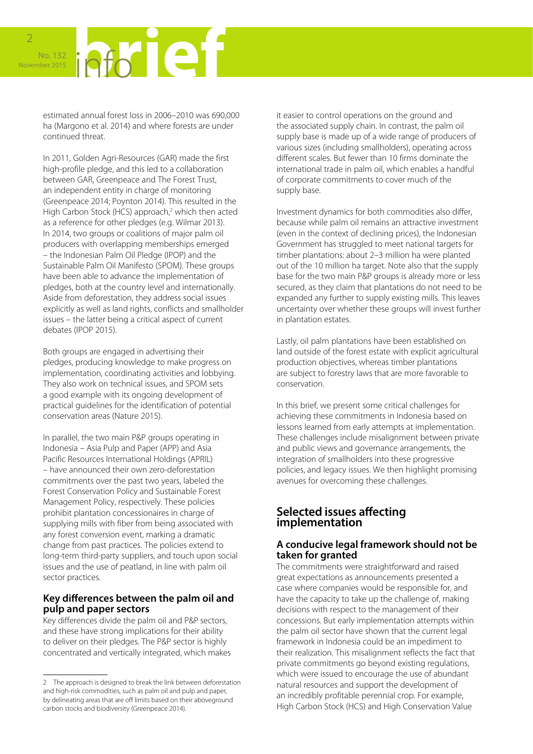

estimated annual forest loss in 2006–2010 was 690,000 ha (Margono et al. 2014) and where forests are under continued threat.

In 2011, Golden Agri-Resources (GAR) made the first high-profile pledge, and this led to a collaboration between GAR, Greenpeace and The Forest Trust, an independent entity in charge of monitoring (Greenpeace 2014; Poynton 2014). This resulted in the High Carbon Stock (HCS) approach,<sup>2</sup> which then acted as a reference for other pledges (e.g. Wilmar 2013). In 2014, two groups or coalitions of major palm oil producers with overlapping memberships emerged – the Indonesian Palm Oil Pledge (IPOP) and the Sustainable Palm Oil Manifesto (SPOM). These groups have been able to advance the implementation of pledges, both at the country level and internationally. Aside from deforestation, they address social issues explicitly as well as land rights, conflicts and smallholder issues – the latter being a critical aspect of current debates (IPOP 2015).

Both groups are engaged in advertising their pledges, producing knowledge to make progress on implementation, coordinating activities and lobbying. They also work on technical issues, and SPOM sets a good example with its ongoing development of practical guidelines for the identification of potential conservation areas (Nature 2015).

In parallel, the two main P&P groups operating in Indonesia – Asia Pulp and Paper (APP) and Asia Pacific Resources International Holdings (APRIL) – have announced their own zero-deforestation commitments over the past two years, labeled the Forest Conservation Policy and Sustainable Forest Management Policy, respectively. These policies prohibit plantation concessionaires in charge of supplying mills with fiber from being associated with any forest conversion event, marking a dramatic change from past practices. The policies extend to long-term third-party suppliers, and touch upon social issues and the use of peatland, in line with palm oil sector practices.

## **Key differences between the palm oil and pulp and paper sectors**

Key differences divide the palm oil and P&P sectors, and these have strong implications for their ability to deliver on their pledges. The P&P sector is highly concentrated and vertically integrated, which makes

it easier to control operations on the ground and the associated supply chain. In contrast, the palm oil supply base is made up of a wide range of producers of various sizes (including smallholders), operating across different scales. But fewer than 10 firms dominate the international trade in palm oil, which enables a handful of corporate commitments to cover much of the supply base.

Investment dynamics for both commodities also differ, because while palm oil remains an attractive investment (even in the context of declining prices), the Indonesian Government has struggled to meet national targets for timber plantations: about 2–3 million ha were planted out of the 10 million ha target. Note also that the supply base for the two main P&P groups is already more or less secured, as they claim that plantations do not need to be expanded any further to supply existing mills. This leaves uncertainty over whether these groups will invest further in plantation estates.

Lastly, oil palm plantations have been established on land outside of the forest estate with explicit agricultural production objectives, whereas timber plantations are subject to forestry laws that are more favorable to conservation.

In this brief, we present some critical challenges for achieving these commitments in Indonesia based on lessons learned from early attempts at implementation. These challenges include misalignment between private and public views and governance arrangements, the integration of smallholders into these progressive policies, and legacy issues. We then highlight promising avenues for overcoming these challenges.

## **Selected issues affecting implementation**

## **A conducive legal framework should not be taken for granted**

The commitments were straightforward and raised great expectations as announcements presented a case where companies would be responsible for, and have the capacity to take up the challenge of, making decisions with respect to the management of their concessions. But early implementation attempts within the palm oil sector have shown that the current legal framework in Indonesia could be an impediment to their realization. This misalignment reflects the fact that private commitments go beyond existing regulations, which were issued to encourage the use of abundant natural resources and support the development of an incredibly profitable perennial crop. For example, High Carbon Stock (HCS) and High Conservation Value

<sup>2</sup> The approach is designed to break the link between deforestation and high-risk commodities, such as palm oil and pulp and paper, by delineating areas that are off limits based on their aboveground carbon stocks and biodiversity (Greenpeace 2014).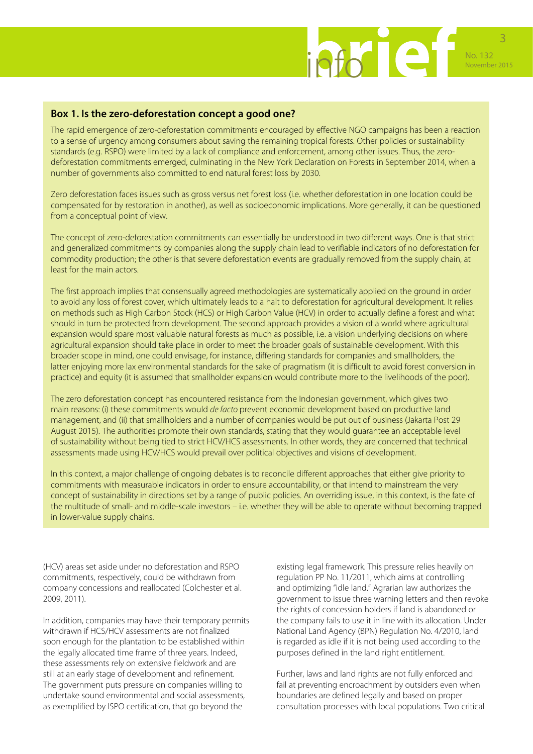

## **Box 1. Is the zero-deforestation concept a good one?**

The rapid emergence of zero-deforestation commitments encouraged by effective NGO campaigns has been a reaction to a sense of urgency among consumers about saving the remaining tropical forests. Other policies or sustainability standards (e.g. RSPO) were limited by a lack of compliance and enforcement, among other issues. Thus, the zerodeforestation commitments emerged, culminating in the New York Declaration on Forests in September 2014, when a number of governments also committed to end natural forest loss by 2030.

Zero deforestation faces issues such as gross versus net forest loss (i.e. whether deforestation in one location could be compensated for by restoration in another), as well as socioeconomic implications. More generally, it can be questioned from a conceptual point of view.

The concept of zero-deforestation commitments can essentially be understood in two different ways. One is that strict and generalized commitments by companies along the supply chain lead to verifiable indicators of no deforestation for commodity production; the other is that severe deforestation events are gradually removed from the supply chain, at least for the main actors.

The first approach implies that consensually agreed methodologies are systematically applied on the ground in order to avoid any loss of forest cover, which ultimately leads to a halt to deforestation for agricultural development. It relies on methods such as High Carbon Stock (HCS) or High Carbon Value (HCV) in order to actually define a forest and what should in turn be protected from development. The second approach provides a vision of a world where agricultural expansion would spare most valuable natural forests as much as possible, i.e. a vision underlying decisions on where agricultural expansion should take place in order to meet the broader goals of sustainable development. With this broader scope in mind, one could envisage, for instance, differing standards for companies and smallholders, the latter enjoying more lax environmental standards for the sake of pragmatism (it is difficult to avoid forest conversion in practice) and equity (it is assumed that smallholder expansion would contribute more to the livelihoods of the poor).

The zero deforestation concept has encountered resistance from the Indonesian government, which gives two main reasons: (i) these commitments would *de facto* prevent economic development based on productive land management, and (ii) that smallholders and a number of companies would be put out of business (Jakarta Post 29 August 2015). The authorities promote their own standards, stating that they would guarantee an acceptable level of sustainability without being tied to strict HCV/HCS assessments. In other words, they are concerned that technical assessments made using HCV/HCS would prevail over political objectives and visions of development.

In this context, a major challenge of ongoing debates is to reconcile different approaches that either give priority to commitments with measurable indicators in order to ensure accountability, or that intend to mainstream the very concept of sustainability in directions set by a range of public policies. An overriding issue, in this context, is the fate of the multitude of small- and middle-scale investors – i.e. whether they will be able to operate without becoming trapped in lower-value supply chains.

(HCV) areas set aside under no deforestation and RSPO commitments, respectively, could be withdrawn from company concessions and reallocated (Colchester et al. 2009, 2011).

In addition, companies may have their temporary permits withdrawn if HCS/HCV assessments are not finalized soon enough for the plantation to be established within the legally allocated time frame of three years. Indeed, these assessments rely on extensive fieldwork and are still at an early stage of development and refinement. The government puts pressure on companies willing to undertake sound environmental and social assessments, as exemplified by ISPO certification, that go beyond the

existing legal framework. This pressure relies heavily on regulation PP No. 11/2011, which aims at controlling and optimizing "idle land." Agrarian law authorizes the government to issue three warning letters and then revoke the rights of concession holders if land is abandoned or the company fails to use it in line with its allocation. Under National Land Agency (BPN) Regulation No. 4/2010, land is regarded as idle if it is not being used according to the purposes defined in the land right entitlement.

Further, laws and land rights are not fully enforced and fail at preventing encroachment by outsiders even when boundaries are defined legally and based on proper consultation processes with local populations. Two critical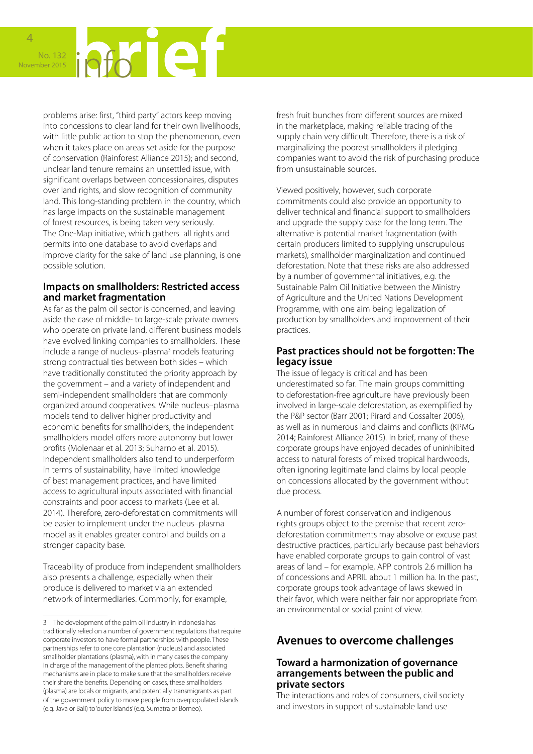

problems arise: first, "third party" actors keep moving into concessions to clear land for their own livelihoods, with little public action to stop the phenomenon, even when it takes place on areas set aside for the purpose of conservation (Rainforest Alliance 2015); and second, unclear land tenure remains an unsettled issue, with significant overlaps between concessionaires, disputes over land rights, and slow recognition of community land. This long-standing problem in the country, which has large impacts on the sustainable management of forest resources, is being taken very seriously. The One-Map initiative, which gathers all rights and permits into one database to avoid overlaps and improve clarity for the sake of land use planning, is one possible solution.

## **Impacts on smallholders: Restricted access and market fragmentation**

As far as the palm oil sector is concerned, and leaving aside the case of middle- to large-scale private owners who operate on private land, different business models have evolved linking companies to smallholders. These include a range of nucleus-plasma<sup>3</sup> models featuring strong contractual ties between both sides – which have traditionally constituted the priority approach by the government – and a variety of independent and semi-independent smallholders that are commonly organized around cooperatives. While nucleus–plasma models tend to deliver higher productivity and economic benefits for smallholders, the independent smallholders model offers more autonomy but lower profits (Molenaar et al. 2013; Suharno et al. 2015). Independent smallholders also tend to underperform in terms of sustainability, have limited knowledge of best management practices, and have limited access to agricultural inputs associated with financial constraints and poor access to markets (Lee et al. 2014). Therefore, zero-deforestation commitments will be easier to implement under the nucleus–plasma model as it enables greater control and builds on a stronger capacity base.

Traceability of produce from independent smallholders also presents a challenge, especially when their produce is delivered to market via an extended network of intermediaries. Commonly, for example,

fresh fruit bunches from different sources are mixed in the marketplace, making reliable tracing of the supply chain very difficult. Therefore, there is a risk of marginalizing the poorest smallholders if pledging companies want to avoid the risk of purchasing produce from unsustainable sources.

Viewed positively, however, such corporate commitments could also provide an opportunity to deliver technical and financial support to smallholders and upgrade the supply base for the long term. The alternative is potential market fragmentation (with certain producers limited to supplying unscrupulous markets), smallholder marginalization and continued deforestation. Note that these risks are also addressed by a number of governmental initiatives, e.g. the Sustainable Palm Oil Initiative between the Ministry of Agriculture and the United Nations Development Programme, with one aim being legalization of production by smallholders and improvement of their practices.

## **Past practices should not be forgotten: The legacy issue**

The issue of legacy is critical and has been underestimated so far. The main groups committing to deforestation-free agriculture have previously been involved in large-scale deforestation, as exemplified by the P&P sector (Barr 2001; Pirard and Cossalter 2006), as well as in numerous land claims and conflicts (KPMG 2014; Rainforest Alliance 2015). In brief, many of these corporate groups have enjoyed decades of uninhibited access to natural forests of mixed tropical hardwoods, often ignoring legitimate land claims by local people on concessions allocated by the government without due process.

A number of forest conservation and indigenous rights groups object to the premise that recent zerodeforestation commitments may absolve or excuse past destructive practices, particularly because past behaviors have enabled corporate groups to gain control of vast areas of land – for example, APP controls 2.6 million ha of concessions and APRIL about 1 million ha. In the past, corporate groups took advantage of laws skewed in their favor, which were neither fair nor appropriate from an environmental or social point of view.

## **Avenues to overcome challenges**

### **Toward a harmonization of governance arrangements between the public and private sectors**

The interactions and roles of consumers, civil society and investors in support of sustainable land use

The development of the palm oil industry in Indonesia has traditionally relied on a number of government regulations that require corporate investors to have formal partnerships with people. These partnerships refer to one core plantation (nucleus) and associated smallholder plantations (plasma), with in many cases the company in charge of the management of the planted plots. Benefit sharing mechanisms are in place to make sure that the smallholders receive their share the benefits. Depending on cases, these smallholders (plasma) are locals or migrants, and potentially transmigrants as part of the government policy to move people from overpopulated islands (e.g. Java or Bali) to 'outer islands' (e.g. Sumatra or Borneo).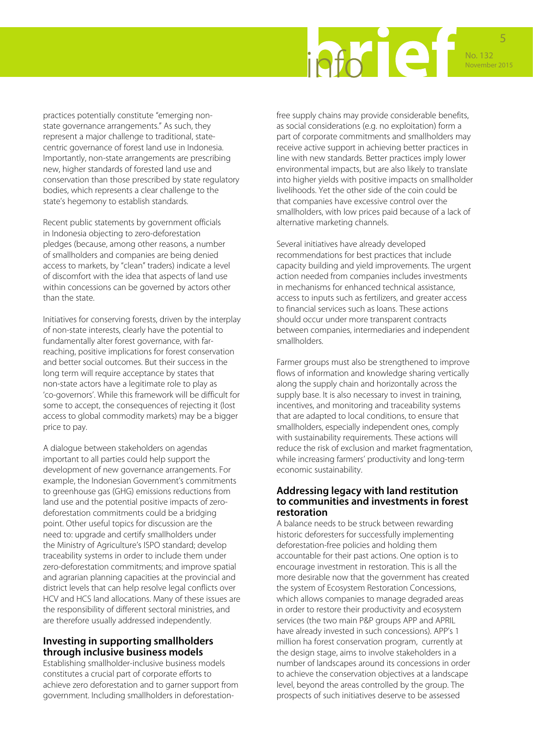

practices potentially constitute "emerging nonstate governance arrangements." As such, they represent a major challenge to traditional, statecentric governance of forest land use in Indonesia. Importantly, non-state arrangements are prescribing new, higher standards of forested land use and conservation than those prescribed by state regulatory bodies, which represents a clear challenge to the state's hegemony to establish standards.

Recent public statements by government officials in Indonesia objecting to zero-deforestation pledges (because, among other reasons, a number of smallholders and companies are being denied access to markets, by "clean" traders) indicate a level of discomfort with the idea that aspects of land use within concessions can be governed by actors other than the state.

Initiatives for conserving forests, driven by the interplay of non-state interests, clearly have the potential to fundamentally alter forest governance, with farreaching, positive implications for forest conservation and better social outcomes. But their success in the long term will require acceptance by states that non-state actors have a legitimate role to play as 'co-governors'. While this framework will be difficult for some to accept, the consequences of rejecting it (lost access to global commodity markets) may be a bigger price to pay.

A dialogue between stakeholders on agendas important to all parties could help support the development of new governance arrangements. For example, the Indonesian Government's commitments to greenhouse gas (GHG) emissions reductions from land use and the potential positive impacts of zerodeforestation commitments could be a bridging point. Other useful topics for discussion are the need to: upgrade and certify smallholders under the Ministry of Agriculture's ISPO standard; develop traceability systems in order to include them under zero-deforestation commitments; and improve spatial and agrarian planning capacities at the provincial and district levels that can help resolve legal conflicts over HCV and HCS land allocations. Many of these issues are the responsibility of different sectoral ministries, and are therefore usually addressed independently.

## **Investing in supporting smallholders through inclusive business models**

Establishing smallholder-inclusive business models constitutes a crucial part of corporate efforts to achieve zero deforestation and to garner support from government. Including smallholders in deforestation-

free supply chains may provide considerable benefits, as social considerations (e.g. no exploitation) form a part of corporate commitments and smallholders may receive active support in achieving better practices in line with new standards. Better practices imply lower environmental impacts, but are also likely to translate into higher yields with positive impacts on smallholder livelihoods. Yet the other side of the coin could be that companies have excessive control over the smallholders, with low prices paid because of a lack of alternative marketing channels.

Several initiatives have already developed recommendations for best practices that include capacity building and yield improvements. The urgent action needed from companies includes investments in mechanisms for enhanced technical assistance, access to inputs such as fertilizers, and greater access to financial services such as loans. These actions should occur under more transparent contracts between companies, intermediaries and independent smallholders.

Farmer groups must also be strengthened to improve flows of information and knowledge sharing vertically along the supply chain and horizontally across the supply base. It is also necessary to invest in training, incentives, and monitoring and traceability systems that are adapted to local conditions, to ensure that smallholders, especially independent ones, comply with sustainability requirements. These actions will reduce the risk of exclusion and market fragmentation, while increasing farmers' productivity and long-term economic sustainability.

### **Addressing legacy with land restitution to communities and investments in forest restoration**

A balance needs to be struck between rewarding historic deforesters for successfully implementing deforestation-free policies and holding them accountable for their past actions. One option is to encourage investment in restoration. This is all the more desirable now that the government has created the system of Ecosystem Restoration Concessions, which allows companies to manage degraded areas in order to restore their productivity and ecosystem services (the two main P&P groups APP and APRIL have already invested in such concessions). APP's 1 million ha forest conservation program, currently at the design stage, aims to involve stakeholders in a number of landscapes around its concessions in order to achieve the conservation objectives at a landscape level, beyond the areas controlled by the group. The prospects of such initiatives deserve to be assessed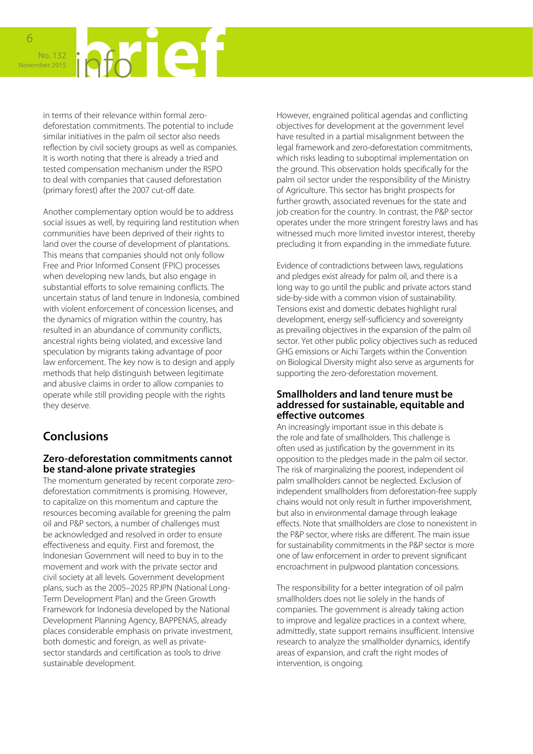

in terms of their relevance within formal zerodeforestation commitments. The potential to include similar initiatives in the palm oil sector also needs reflection by civil society groups as well as companies. It is worth noting that there is already a tried and tested compensation mechanism under the RSPO to deal with companies that caused deforestation (primary forest) after the 2007 cut-off date.

Another complementary option would be to address social issues as well, by requiring land restitution when communities have been deprived of their rights to land over the course of development of plantations. This means that companies should not only follow Free and Prior Informed Consent (FPIC) processes when developing new lands, but also engage in substantial efforts to solve remaining conflicts. The uncertain status of land tenure in Indonesia, combined with violent enforcement of concession licenses, and the dynamics of migration within the country, has resulted in an abundance of community conflicts, ancestral rights being violated, and excessive land speculation by migrants taking advantage of poor law enforcement. The key now is to design and apply methods that help distinguish between legitimate and abusive claims in order to allow companies to operate while still providing people with the rights they deserve.

## **Conclusions**

## **Zero-deforestation commitments cannot be stand-alone private strategies**

The momentum generated by recent corporate zerodeforestation commitments is promising. However, to capitalize on this momentum and capture the resources becoming available for greening the palm oil and P&P sectors, a number of challenges must be acknowledged and resolved in order to ensure effectiveness and equity. First and foremost, the Indonesian Government will need to buy in to the movement and work with the private sector and civil society at all levels. Government development plans, such as the 2005–2025 RPJPN (National Long-Term Development Plan) and the Green Growth Framework for Indonesia developed by the National Development Planning Agency, BAPPENAS, already places considerable emphasis on private investment, both domestic and foreign, as well as privatesector standards and certification as tools to drive sustainable development.

However, engrained political agendas and conflicting objectives for development at the government level have resulted in a partial misalignment between the legal framework and zero-deforestation commitments, which risks leading to suboptimal implementation on the ground. This observation holds specifically for the palm oil sector under the responsibility of the Ministry of Agriculture. This sector has bright prospects for further growth, associated revenues for the state and job creation for the country. In contrast, the P&P sector operates under the more stringent forestry laws and has witnessed much more limited investor interest, thereby precluding it from expanding in the immediate future.

Evidence of contradictions between laws, regulations and pledges exist already for palm oil, and there is a long way to go until the public and private actors stand side-by-side with a common vision of sustainability. Tensions exist and domestic debates highlight rural development, energy self-sufficiency and sovereignty as prevailing objectives in the expansion of the palm oil sector. Yet other public policy objectives such as reduced GHG emissions or Aichi Targets within the Convention on Biological Diversity might also serve as arguments for supporting the zero-deforestation movement.

## **Smallholders and land tenure must be addressed for sustainable, equitable and effective outcomes**

An increasingly important issue in this debate is the role and fate of smallholders. This challenge is often used as justification by the government in its opposition to the pledges made in the palm oil sector. The risk of marginalizing the poorest, independent oil palm smallholders cannot be neglected. Exclusion of independent smallholders from deforestation-free supply chains would not only result in further impoverishment, but also in environmental damage through leakage effects. Note that smallholders are close to nonexistent in the P&P sector, where risks are different. The main issue for sustainability commitments in the P&P sector is more one of law enforcement in order to prevent significant encroachment in pulpwood plantation concessions.

The responsibility for a better integration of oil palm smallholders does not lie solely in the hands of companies. The government is already taking action to improve and legalize practices in a context where, admittedly, state support remains insufficient. Intensive research to analyze the smallholder dynamics, identify areas of expansion, and craft the right modes of intervention, is ongoing*.*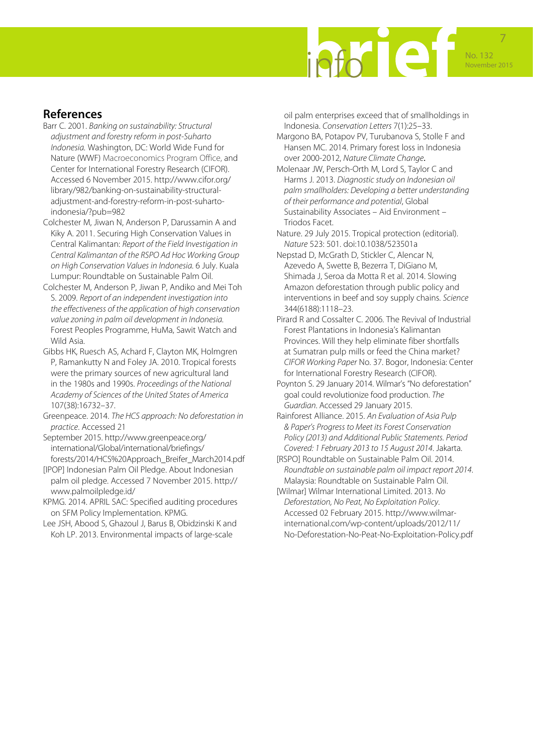

## **References**

- Barr C. 2001. *Banking on sustainability: Structural adjustment and forestry reform in post-Suharto Indonesia.* Washington, DC: World Wide Fund for Nature (WWF) Macroeconomics Program Office, and Center for International Forestry Research (CIFOR). Accessed 6 November 2015. http://www.cifor.org/ library/982/banking-on-sustainability-structuraladjustment-and-forestry-reform-in-post-suhartoindonesia/?pub=982
- Colchester M, Jiwan N, Anderson P, Darussamin A and Kiky A. 2011. Securing High Conservation Values in Central Kalimantan: *Report of the Field Investigation in Central Kalimantan of the RSPO Ad Hoc Working Group on High Conservation Values in Indonesia.* 6 July. Kuala Lumpur: Roundtable on Sustainable Palm Oil.
- Colchester M, Anderson P, Jiwan P, Andiko and Mei Toh S. 2009. *Report of an independent investigation into the effectiveness of the application of high conservation value zoning in palm oil development in Indonesia.*  Forest Peoples Programme, HuMa, Sawit Watch and Wild Asia.
- Gibbs HK, Ruesch AS, Achard F, Clayton MK, Holmgren P, Ramankutty N and Foley JA. 2010. Tropical forests were the primary sources of new agricultural land in the 1980s and 1990s. *Proceedings of the National Academy of Sciences of the United States of America* 107(38):16732–37.
- Greenpeace. 2014. *The HCS approach: No deforestation in practice*. Accessed 21
- September 2015. http://www.greenpeace.org/ international/Global/international/briefings/ forests/2014/HCS%20Approach\_Breifer\_March2014.pdf
- [IPOP] Indonesian Palm Oil Pledge. About Indonesian palm oil pledge. Accessed 7 November 2015. http:// www.palmoilpledge.id/
- KPMG. 2014. APRIL SAC: Specified auditing procedures on SFM Policy Implementation. KPMG.
- Lee JSH, Abood S, Ghazoul J, Barus B, Obidzinski K and Koh LP. 2013. Environmental impacts of large-scale

oil palm enterprises exceed that of smallholdings in Indonesia. *Conservation Letters* 7(1):25–33.

- Margono BA, Potapov PV, Turubanova S, Stolle F and Hansen MC. 2014. Primary forest loss in Indonesia over 2000-2012, *Nature Climate Change*.
- Molenaar JW, Persch-Orth M, Lord S, Taylor C and Harms J. 2013. *Diagnostic study on Indonesian oil palm smallholders: Developing a better understanding of their performance and potential*, Global Sustainability Associates – Aid Environment – Triodos Facet.
- Nature. 29 July 2015. Tropical protection (editorial). *Nature* 523: 501. doi:10.1038/523501a
- Nepstad D, McGrath D, Stickler C, Alencar N, Azevedo A, Swette B, Bezerra T, DiGiano M, Shimada J, Seroa da Motta R et al. 2014. Slowing Amazon deforestation through public policy and interventions in beef and soy supply chains. *Science* 344(6188):1118–23.
- Pirard R and Cossalter C. 2006. The Revival of Industrial Forest Plantations in Indonesia's Kalimantan Provinces. Will they help eliminate fiber shortfalls at Sumatran pulp mills or feed the China market? *CIFOR Working Paper* No. 37. Bogor, Indonesia: Center for International Forestry Research (CIFOR).
- Poynton S. 29 January 2014. Wilmar's "No deforestation" goal could revolutionize food production. *The Guardian*. Accessed 29 January 2015.
- Rainforest Alliance. 2015. *An Evaluation of Asia Pulp & Paper's Progress to Meet its Forest Conservation Policy (2013) and Additional Public Statements. Period Covered: 1 February 2013 to 15 August 2014*. Jakarta.
- [RSPO] Roundtable on Sustainable Palm Oil. 2014. *Roundtable on sustainable palm oil impact report 2014*. Malaysia: Roundtable on Sustainable Palm Oil.
- [Wilmar] Wilmar International Limited. 2013. *No Deforestation, No Peat, No Exploitation Policy*. Accessed 02 February 2015. http://www.wilmarinternational.com/wp-content/uploads/2012/11/ No-Deforestation-No-Peat-No-Exploitation-Policy.pdf